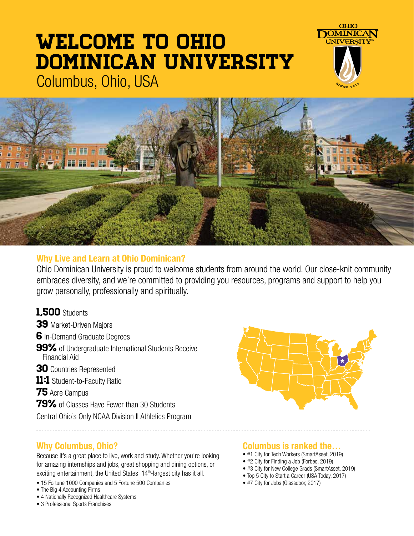# Welcome to Ohio Dominican University Columbus, Ohio, USA





### **Why Live and Learn at Ohio Dominican?**

Ohio Dominican University is proud to welcome students from around the world. Our close-knit community embraces diversity, and we're committed to providing you resources, programs and support to help you grow personally, professionally and spiritually.

### 1,500 Students

- 39 Market-Driven Majors
- 6 In-Demand Graduate Degrees
- **99%** of Undergraduate International Students Receive Financial Aid
- 30 Countries Represented
- 11:1 Student-to-Faculty Ratio
- **75** Acre Campus
- 79% of Classes Have Fewer than 30 Students
- Central Ohio's Only NCAA Division II Athletics Program

# **Why Columbus, Ohio?**

Because it's a great place to live, work and study. Whether you're looking for amazing internships and jobs, great shopping and dining options, or exciting entertainment, the United States' 14<sup>th</sup>-largest city has it all.

- 15 Fortune 1000 Companies and 5 Fortune 500 Companies
- The Big 4 Accounting Firms
- 4 Nationally Recognized Healthcare Systems
- 3 Professional Sports Franchises



### **Columbus is ranked the…**

- #1 City for Tech Workers (SmartAsset, 2019)
- #2 City for Finding a Job (Forbes, 2019)
- #3 City for New College Grads (SmartAsset, 2019)
- Top 5 City to Start a Career (USA Today, 2017)
- #7 City for Jobs (Glassdoor, 2017)